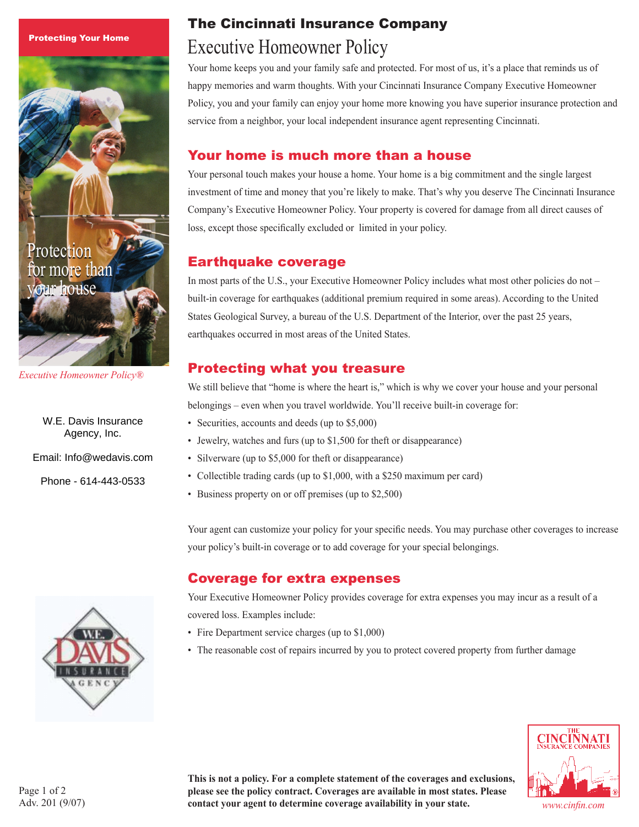Protecting Your Home



*Executive Homeowner Policy®*

W.E. Davis Insurance Agency, Inc.

Email: Info@wedavis.com

Phone - 614-443-0533

# The Cincinnati Insurance Company Executive Homeowner Policy

Your home keeps you and your family safe and protected. For most of us, it's a place that reminds us of happy memories and warm thoughts. With your Cincinnati Insurance Company Executive Homeowner Policy, you and your family can enjoy your home more knowing you have superior insurance protection and service from a neighbor, your local independent insurance agent representing Cincinnati.

## Your home is much more than a house

Your personal touch makes your house a home. Your home is a big commitment and the single largest investment of time and money that you're likely to make. That's why you deserve The Cincinnati Insurance Company's Executive Homeowner Policy. Your property is covered for damage from all direct causes of loss, except those specifically excluded or limited in your policy.

#### Earthquake coverage

In most parts of the U.S., your Executive Homeowner Policy includes what most other policies do not – built-in coverage for earthquakes (additional premium required in some areas). According to the United States Geological Survey, a bureau of the U.S. Department of the Interior, over the past 25 years, earthquakes occurred in most areas of the United States.

## Protecting what you treasure

We still believe that "home is where the heart is," which is why we cover your house and your personal belongings – even when you travel worldwide. You'll receive built-in coverage for:

- Securities, accounts and deeds (up to \$5,000)
- Jewelry, watches and furs (up to \$1,500 for theft or disappearance)
- Silverware (up to \$5,000 for theft or disappearance)
- Collectible trading cards (up to \$1,000, with a \$250 maximum per card)
- Business property on or off premises (up to \$2,500)

Your agent can customize your policy for your specific needs. You may purchase other coverages to increase your policy's built-in coverage or to add coverage for your special belongings.

#### Coverage for extra expenses

Your Executive Homeowner Policy provides coverage for extra expenses you may incur as a result of a covered loss. Examples include:

- Fire Department service charges (up to \$1,000)
- The reasonable cost of repairs incurred by you to protect covered property from further damage



**This is not a policy. For a complete statement of the coverages and exclusions, please see the policy contract. Coverages are available in most states. Please contact your agent to determine coverage availability in your state.** *www.cinfin.com*